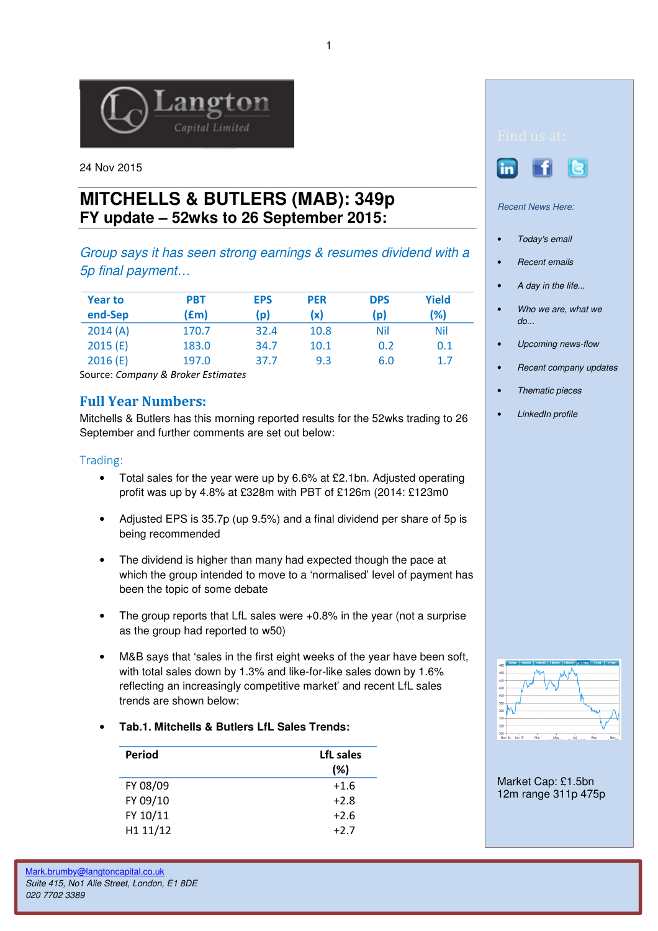

24 Nov 2015

# **MITCHELLS & BUTLERS (MAB): 349p FY update – 52wks to 26 September 2015:**

Group says it has seen strong earnings & resumes dividend with a 5p final payment…

| <b>Year to</b><br>end-Sep | <b>PBT</b><br>(£m) | <b>EPS</b><br>$\mathsf{p})$ | <b>PER</b><br>(x) | <b>DPS</b><br>(p) | Yield<br>(%) |
|---------------------------|--------------------|-----------------------------|-------------------|-------------------|--------------|
| 2014(A)                   | 170.7              | 32.4                        | 10.8              | Nil               | <b>Nil</b>   |
| 2015(E)                   | 183.0              | 34.7                        | 10.1              | 0.2               | 0.1          |
| 2016(E)                   | 197.0              | 37.7                        | 9.3               | 6.0               | 1.7          |

Source: Company & Broker Estimates

## Full Year Numbers:

Mitchells & Butlers has this morning reported results for the 52wks trading to 26 September and further comments are set out below:

### Trading:

- Total sales for the year were up by 6.6% at £2.1bn. Adjusted operating profit was up by 4.8% at £328m with PBT of £126m (2014: £123m0
- Adjusted EPS is 35.7p (up 9.5%) and a final dividend per share of 5p is being recommended
- The dividend is higher than many had expected though the pace at which the group intended to move to a 'normalised' level of payment has been the topic of some debate
- The group reports that LfL sales were +0.8% in the year (not a surprise as the group had reported to w50)
- M&B says that 'sales in the first eight weeks of the year have been soft, with total sales down by 1.3% and like-for-like sales down by 1.6% reflecting an increasingly competitive market' and recent LfL sales trends are shown below:

#### • **Tab.1. Mitchells & Butlers LfL Sales Trends:**

| Period   | LfL sales<br>(%) |
|----------|------------------|
| FY 08/09 | $+1.6$           |
| FY 09/10 | $+2.8$           |
| FY 10/11 | $+2.6$           |
| H1 11/12 | $+2.7$           |
|          |                  |





Recent News Here:

- Today's email
- Recent emails
- A day in the life...
- Who we are, what we  $d\rho$ ...
- Upcoming news-flow
- Recent company updates
- Thematic pieces
- LinkedIn profile



Market Cap: £1.5bn 12m range 311p 475p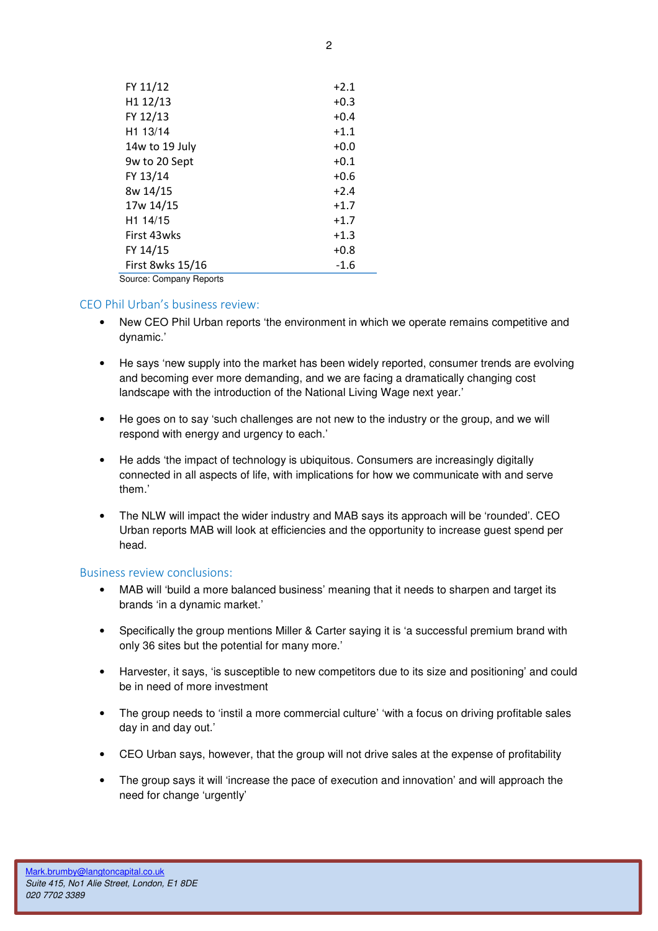| FY 11/12                | $+2.1$ |
|-------------------------|--------|
| H1 12/13                | $+0.3$ |
| FY 12/13                | $+0.4$ |
| H <sub>1</sub> 13/14    | $+1.1$ |
| 14w to 19 July          | $+0.0$ |
| 9w to 20 Sept           | $+0.1$ |
| FY 13/14                | $+0.6$ |
| 8w 14/15                | $+2.4$ |
| 17w 14/15               | $+1.7$ |
| H1 14/15                | $+1.7$ |
| First 43wks             | $+1.3$ |
| FY 14/15                | $+0.8$ |
| First 8wks 15/16        | $-1.6$ |
| Source: Company Reports |        |

#### CEO Phil Urban's business review:

- New CEO Phil Urban reports 'the environment in which we operate remains competitive and dynamic.'
- He says 'new supply into the market has been widely reported, consumer trends are evolving and becoming ever more demanding, and we are facing a dramatically changing cost landscape with the introduction of the National Living Wage next year.'
- He goes on to say 'such challenges are not new to the industry or the group, and we will respond with energy and urgency to each.'
- He adds 'the impact of technology is ubiquitous. Consumers are increasingly digitally connected in all aspects of life, with implications for how we communicate with and serve them.'
- The NLW will impact the wider industry and MAB says its approach will be 'rounded'. CEO Urban reports MAB will look at efficiencies and the opportunity to increase guest spend per head.

#### Business review conclusions:

- MAB will 'build a more balanced business' meaning that it needs to sharpen and target its brands 'in a dynamic market.'
- Specifically the group mentions Miller & Carter saying it is 'a successful premium brand with only 36 sites but the potential for many more.'
- Harvester, it says, 'is susceptible to new competitors due to its size and positioning' and could be in need of more investment
- The group needs to 'instil a more commercial culture' 'with a focus on driving profitable sales day in and day out.'
- CEO Urban says, however, that the group will not drive sales at the expense of profitability
- The group says it will 'increase the pace of execution and innovation' and will approach the need for change 'urgently'